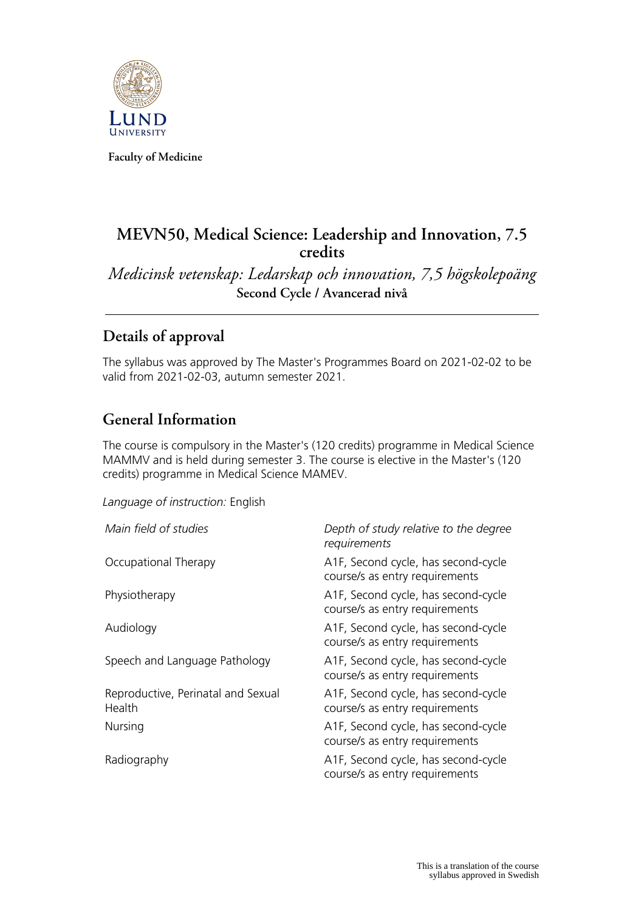

**Faculty of Medicine**

# **MEVN50, Medical Science: Leadership and Innovation, 7.5 credits**

*Medicinsk vetenskap: Ledarskap och innovation, 7,5 högskolepoäng* **Second Cycle / Avancerad nivå**

# **Details of approval**

The syllabus was approved by The Master's Programmes Board on 2021-02-02 to be valid from 2021-02-03, autumn semester 2021.

## **General Information**

The course is compulsory in the Master's (120 credits) programme in Medical Science MAMMV and is held during semester 3. The course is elective in the Master's (120 credits) programme in Medical Science MAMEV.

*Language of instruction:* English

| Main field of studies                        | Depth of study relative to the degree<br>requirements                 |
|----------------------------------------------|-----------------------------------------------------------------------|
| Occupational Therapy                         | A1F, Second cycle, has second-cycle<br>course/s as entry requirements |
| Physiotherapy                                | A1F, Second cycle, has second-cycle<br>course/s as entry requirements |
| Audiology                                    | A1F, Second cycle, has second-cycle<br>course/s as entry requirements |
| Speech and Language Pathology                | A1F, Second cycle, has second-cycle<br>course/s as entry requirements |
| Reproductive, Perinatal and Sexual<br>Health | A1F, Second cycle, has second-cycle<br>course/s as entry requirements |
| Nursing                                      | A1F, Second cycle, has second-cycle<br>course/s as entry requirements |
| Radiography                                  | A1F, Second cycle, has second-cycle<br>course/s as entry requirements |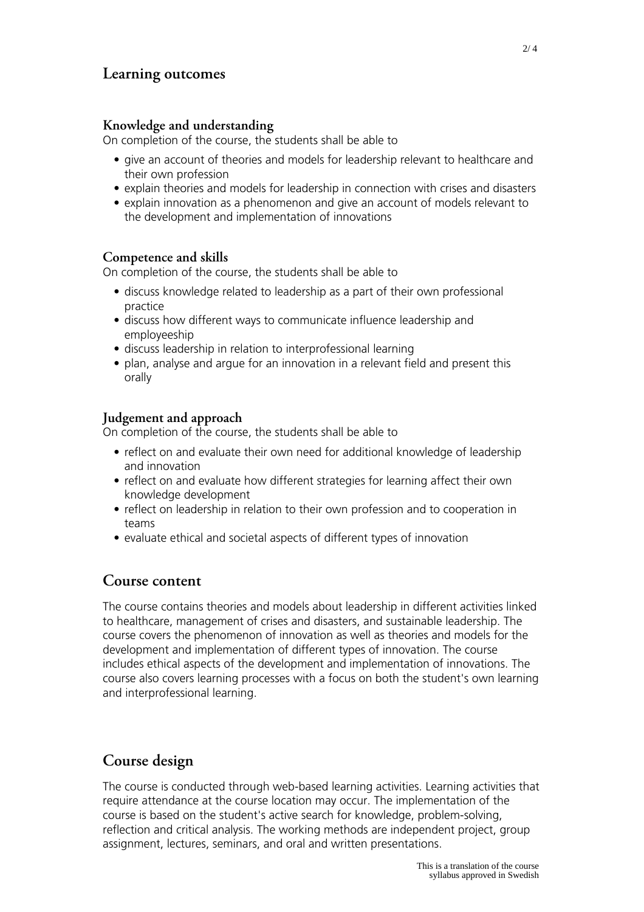### **Learning outcomes**

#### **Knowledge and understanding**

On completion of the course, the students shall be able to

- give an account of theories and models for leadership relevant to healthcare and their own profession
- explain theories and models for leadership in connection with crises and disasters
- explain innovation as a phenomenon and give an account of models relevant to the development and implementation of innovations

#### **Competence and skills**

On completion of the course, the students shall be able to

- discuss knowledge related to leadership as a part of their own professional practice
- discuss how different ways to communicate influence leadership and employeeship
- discuss leadership in relation to interprofessional learning
- plan, analyse and argue for an innovation in a relevant field and present this orally

#### **Judgement and approach**

On completion of the course, the students shall be able to

- reflect on and evaluate their own need for additional knowledge of leadership and innovation
- reflect on and evaluate how different strategies for learning affect their own knowledge development
- reflect on leadership in relation to their own profession and to cooperation in teams
- evaluate ethical and societal aspects of different types of innovation

#### **Course content**

The course contains theories and models about leadership in different activities linked to healthcare, management of crises and disasters, and sustainable leadership. The course covers the phenomenon of innovation as well as theories and models for the development and implementation of different types of innovation. The course includes ethical aspects of the development and implementation of innovations. The course also covers learning processes with a focus on both the student's own learning and interprofessional learning.

# **Course design**

The course is conducted through web-based learning activities. Learning activities that require attendance at the course location may occur. The implementation of the course is based on the student's active search for knowledge, problem-solving, reflection and critical analysis. The working methods are independent project, group assignment, lectures, seminars, and oral and written presentations.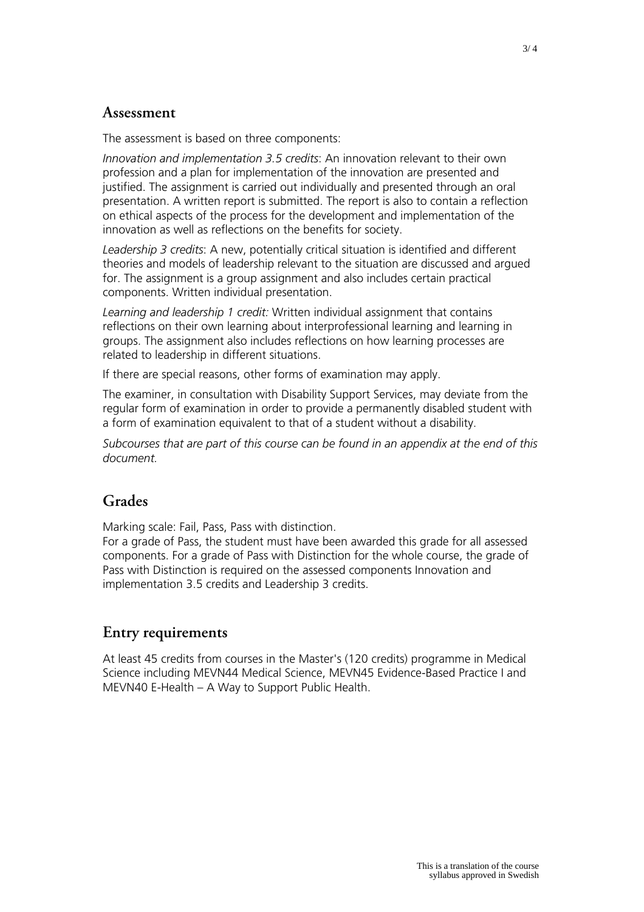#### **Assessment**

The assessment is based on three components:

*Innovation and implementation 3.5 credits*: An innovation relevant to their own profession and a plan for implementation of the innovation are presented and justified. The assignment is carried out individually and presented through an oral presentation. A written report is submitted. The report is also to contain a reflection on ethical aspects of the process for the development and implementation of the innovation as well as reflections on the benefits for society.

*Leadership 3 credits*: A new, potentially critical situation is identified and different theories and models of leadership relevant to the situation are discussed and argued for. The assignment is a group assignment and also includes certain practical components. Written individual presentation.

*Learning and leadership 1 credit:* Written individual assignment that contains reflections on their own learning about interprofessional learning and learning in groups. The assignment also includes reflections on how learning processes are related to leadership in different situations.

If there are special reasons, other forms of examination may apply.

The examiner, in consultation with Disability Support Services, may deviate from the regular form of examination in order to provide a permanently disabled student with a form of examination equivalent to that of a student without a disability.

*Subcourses that are part of this course can be found in an appendix at the end of this document.*

## **Grades**

Marking scale: Fail, Pass, Pass with distinction.

For a grade of Pass, the student must have been awarded this grade for all assessed components. For a grade of Pass with Distinction for the whole course, the grade of Pass with Distinction is required on the assessed components Innovation and implementation 3.5 credits and Leadership 3 credits.

### **Entry requirements**

At least 45 credits from courses in the Master's (120 credits) programme in Medical Science including MEVN44 Medical Science, MEVN45 Evidence-Based Practice I and MEVN40 E-Health – A Way to Support Public Health.